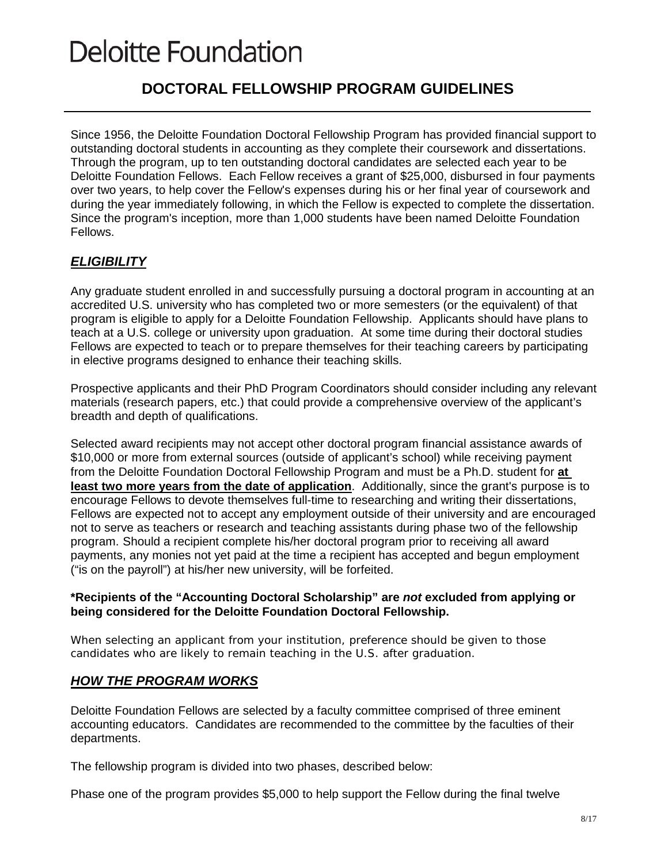# **Deloitte Foundation**

## **DOCTORAL FELLOWSHIP PROGRAM GUIDELINES**

Since 1956, the Deloitte Foundation Doctoral Fellowship Program has provided financial support to outstanding doctoral students in accounting as they complete their coursework and dissertations. Through the program, up to ten outstanding doctoral candidates are selected each year to be Deloitte Foundation Fellows. Each Fellow receives a grant of \$25,000, disbursed in four payments over two years, to help cover the Fellow's expenses during his or her final year of coursework and during the year immediately following, in which the Fellow is expected to complete the dissertation. Since the program's inception, more than 1,000 students have been named Deloitte Foundation Fellows.

## *ELIGIBILITY*

Any graduate student enrolled in and successfully pursuing a doctoral program in accounting at an accredited U.S. university who has completed two or more semesters (or the equivalent) of that program is eligible to apply for a Deloitte Foundation Fellowship. Applicants should have plans to teach at a U.S. college or university upon graduation. At some time during their doctoral studies Fellows are expected to teach or to prepare themselves for their teaching careers by participating in elective programs designed to enhance their teaching skills.

Prospective applicants and their PhD Program Coordinators should consider including any relevant materials (research papers, etc.) that could provide a comprehensive overview of the applicant's breadth and depth of qualifications.

Selected award recipients may not accept other doctoral program financial assistance awards of \$10,000 or more from external sources (outside of applicant's school) while receiving payment from the Deloitte Foundation Doctoral Fellowship Program and must be a Ph.D. student for **at least two more years from the date of application**. Additionally, since the grant's purpose is to encourage Fellows to devote themselves full-time to researching and writing their dissertations, Fellows are expected not to accept any employment outside of their university and are encouraged not to serve as teachers or research and teaching assistants during phase two of the fellowship program. Should a recipient complete his/her doctoral program prior to receiving all award payments, any monies not yet paid at the time a recipient has accepted and begun employment ("is on the payroll") at his/her new university, will be forfeited.

#### **\*Recipients of the "Accounting Doctoral Scholarship" are** *not* **excluded from applying or being considered for the Deloitte Foundation Doctoral Fellowship.**

When selecting an applicant from your institution, preference should be given to those candidates who are likely to remain teaching in the U.S. after graduation.

## *HOW THE PROGRAM WORKS*

Deloitte Foundation Fellows are selected by a faculty committee comprised of three eminent accounting educators. Candidates are recommended to the committee by the faculties of their departments.

The fellowship program is divided into two phases, described below:

Phase one of the program provides \$5,000 to help support the Fellow during the final twelve